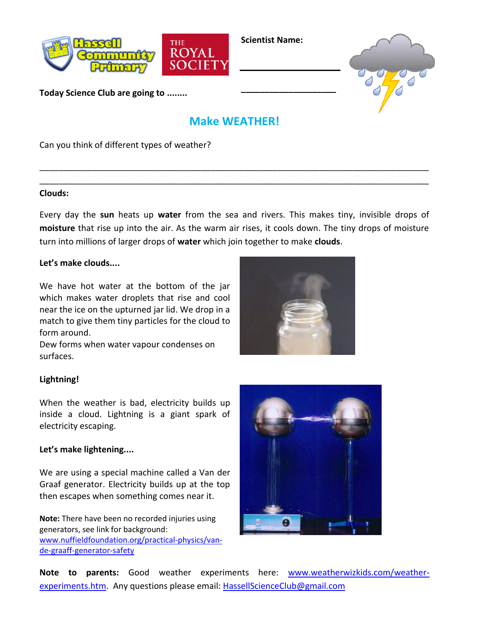

**Scientist Name:**

**\_\_\_\_\_\_\_\_\_\_\_\_\_\_\_\_\_\_\_\_**



**Today Science Club are going to ........**

# **Make WEATHER!**

\_\_\_\_\_\_\_\_\_\_\_\_\_\_\_\_\_\_\_\_\_\_\_\_\_\_\_\_\_\_\_\_\_\_\_\_\_\_\_\_\_\_\_\_\_\_\_\_\_\_\_\_\_\_\_\_\_\_\_\_\_\_\_\_\_\_\_\_\_\_\_\_\_\_\_\_\_\_\_\_\_\_ \_\_\_\_\_\_\_\_\_\_\_\_\_\_\_\_\_\_\_\_\_\_\_\_\_\_\_\_\_\_\_\_\_\_\_\_\_\_\_\_\_\_\_\_\_\_\_\_\_\_\_\_\_\_\_\_\_\_\_\_\_\_\_\_\_\_\_\_\_\_\_\_\_\_\_\_\_\_\_\_\_\_

Can you think of different types of weather?

#### **Clouds:**

Every day the **sun** heats up **water** from the sea and rivers. This makes tiny, invisible drops of **moisture** that rise up into the air. As the warm air rises, it cools down. The tiny drops of moisture turn into millions of larger drops of **water** which join together to make **clouds**.

### **Let's make clouds....**

We have hot water at the bottom of the jar which makes water droplets that rise and cool near the ice on the upturned jar lid. We drop in a match to give them tiny particles for the cloud to form around.



Dew forms when water vapour condenses on surfaces.

## **Lightning!**

When the weather is bad, electricity builds up inside a cloud. Lightning is a giant spark of electricity escaping.

## **Let's make lightening....**

We are using a special machine called a Van der Graaf generator. Electricity builds up at the top then escapes when something comes near it.

**Note:** There have been no recorded injuries using generators, see link for background: [www.nuffieldfoundation.org/practical-physics/van](http://www.nuffieldfoundation.org/practical-physics/van-de-graaff-generator-safety)[de-graaff-generator-safety](http://www.nuffieldfoundation.org/practical-physics/van-de-graaff-generator-safety)



**Note to parents:** Good weather experiments here: [www.weatherwizkids.com/weather](http://www.weatherwizkids.com/weather-experiments.htm)[experiments.htm.](http://www.weatherwizkids.com/weather-experiments.htm) Any questions please email: [HassellScienceClub@gmail.com](mailto:HassellScienceClub@gmail.com)